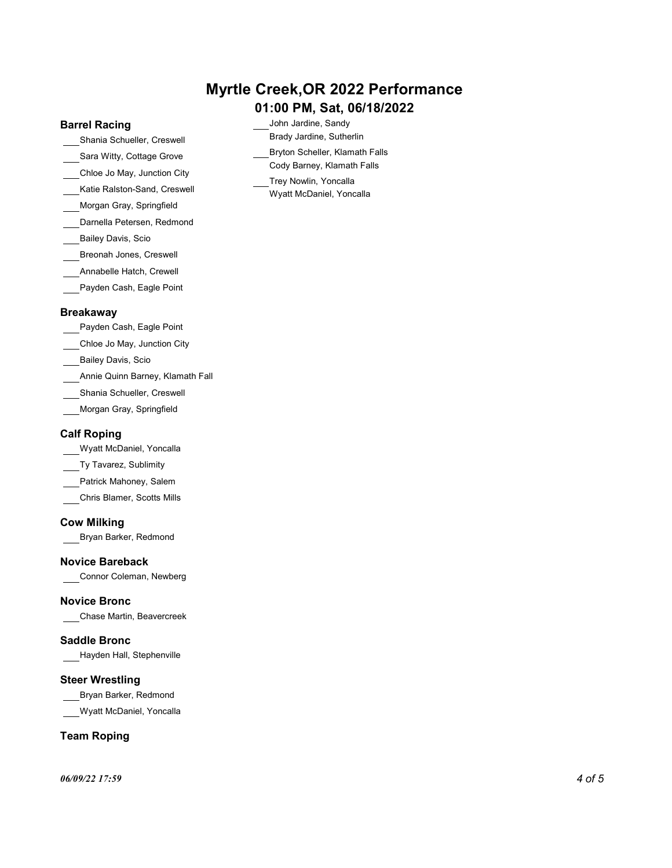# Myrtle Creek,OR 2022 Performance

## 01:00 PM, Sat, 06/18/2022

John Jardine, Sandy Brady Jardine, Sutherlin Bryton Scheller, Klamath Falls Cody Barney, Klamath Falls Trey Nowlin, Yoncalla Wyatt McDaniel, Yoncalla

## Barrel Racing

- Shania Schueller, Creswell
- Sara Witty, Cottage Grove
- Chloe Jo May, Junction City
- Katie Ralston-Sand, Creswell
- Morgan Gray, Springfield
- Darnella Petersen, Redmond
- Bailey Davis, Scio
- Breonah Jones, Creswell
- Annabelle Hatch, Crewell
- Payden Cash, Eagle Point

## Breakaway

- Payden Cash, Eagle Point
- Chloe Jo May, Junction City
- Bailey Davis, Scio
- Annie Quinn Barney, Klamath Fall
- Shania Schueller, Creswell
- Morgan Gray, Springfield

## Calf Roping

- Wyatt McDaniel, Yoncalla
- Ty Tavarez, Sublimity
- Patrick Mahoney, Salem
- Chris Blamer, Scotts Mills

## Cow Milking

Bryan Barker, Redmond

## Novice Bareback

Connor Coleman, Newberg

## Novice Bronc

Chase Martin, Beavercreek

## Saddle Bronc

Hayden Hall, Stephenville

## Steer Wrestling

Bryan Barker, Redmond

Wyatt McDaniel, Yoncalla

## Team Roping